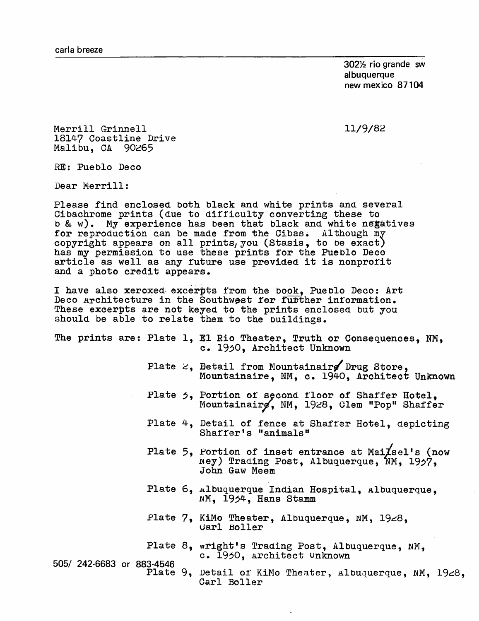30272 rio grande sw albuquerque new mexico 87104

11/9/82

Merrill Grinnell 18147 Coastline Drive Malibu, CA 90265

RE: Pueblo Deco

Dear Merrill:

Please find enclosed both black and white prints and several Cibachrome prints (due to difficulty converting these to b & w). My experience has been that black and white negatives for reproduction can be made from the Cibas. Although my copyright appears on all prints, you (Stasis, to be exact) has my permission to use these prints for the Pueblo Deco article as well as any future use provided it is nonprofit and a photo credit appears.

I have also xeroxed excerpts from the book, Pueblo Deco: Art Deco Architecture in the Southwest for further information. These excerpts are not keyed to the prints enclosed but you should be able to relate them to the buildings.

|                           |  |  | The prints are: Plate 1, El Rio Theater, Truth or Consequences, NM,<br>c. 1950, Architect Unknown                         |
|---------------------------|--|--|---------------------------------------------------------------------------------------------------------------------------|
|                           |  |  | Plate $\epsilon$ , Detail from Mountainairs Drug Store.<br>Mountainaire, NM, c. 1940, Architect Unknown                   |
|                           |  |  | Plate 5, Portion of second floor of Shaffer Hotel,<br>Mountainairg, NM, 1928, Clem "Pop" Shaffer                          |
|                           |  |  | Plate 4, Detail of fence at Shaffer Hotel, depicting<br>Shaffer's "animals"                                               |
|                           |  |  | Plate 5, Portion of inset entrance at Mai $\chi$ sel's (now<br>Ney) Trading Post, Albuquerque, NM, 1957,<br>John Gaw Meem |
|                           |  |  | Plate 6, Albuquerque Indian Hospital, Albuquerque,<br>NM, 1954, Hans Stamm                                                |
|                           |  |  | Plate 7, KiMo Theater, Albuquerque, NM, 1928,<br>Garl Boller                                                              |
|                           |  |  | Plate 8, wright's Trading Post, Albuquerque, NM,<br>c. 1950, architect Unknown                                            |
| 505/ 242-6683 or 883-4546 |  |  | Plate 9, Detail of KiMo Theater, Albuquerque, NM, 1928,                                                                   |

Carl Boller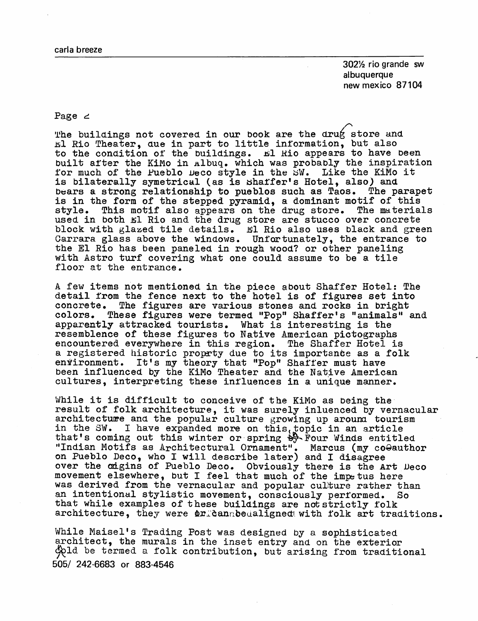$302\frac{1}{2}$  rio grande sw albuquerque new mexico 87104

## Page  $\geq$

The buildings not covered in our book are the drug store and El Rio Theater, que in part to little information, but also to the condition of the buildings. El Rio appears to have been built after the KiMo in Albuq. which was probably the inspiration for much of the Pueblo Deco style in the SW. Like the KiMo it is bilaterally symetrical (as is shaffer's Hotel, also) and bears a strong relationship to pueblos such as Taos. The parapet is in the form of the stepped pyramid, a dominant motif of this<br>style. This motif also appears on the drug store. The materials style. This motif also appears on the drug store. used in both  $E1$  Rio and the drug store are stucco over concrete block with glazed tile details. El Rio also uses black and green Carrara glass above the windows. Unfortunately, the entrance to the El Rio has been paneled in rough wood? or other paneling with Astro turf covering what one could assume to be a tile floor at the entrance.

A few items not mentioned in the piece about Shaffer Hotel: The detail from the fence next to the hotel is of figures set into concrete. The figures are various stones and rocks in bright colors. These figures were termed "Pop" Shaffer's "animals" and apparently attracked tourists. What is interesting is the resemblence of these figures to Native American pictographs<br>encountered everywhere in this region. The Shaffer Hotel is encountered everywhere in this region. a registered historic proprty due to its importance as a folk en vironment. It's my theory that "Pop" Shaffer must have been influenced by the KiMo Theater and the Native American cultures, interpreting these influences in a unique manner.

While it is difficult to conceive of the KiMo as being the result of folk architecture, it was surely inluenced by vernacular architecture and the popular culture growing up around tourism in the SW. I have expanded more on this, topic in an article that's coming out this winter or spring  $\frac{1}{2}$  Four Winds entitled "Indian Motifs as Architectural Ornament". Marcus (my coQauthor on Pueblo Deco, who I will describe later) and I disagree over the ongins of Pueblo Deco. Obviously there is the Art Deco movement elsewhere, but I feel that much of the impetus here was derived from the vernacular and popular culture rather than an intentional stylistic movement, consciously performed. So that while examples of these buildings are not strictly folk architecture, they were  $\Delta x$  can be aligned with folk art traditions.

While Maisel's Trading Post was designed by a sophisticated architect, the murals in the inset entry and on the exterior  $\phi$ dd be termed a folk contribution, but arising from traditional 505/ 242-6683 or 883-4546